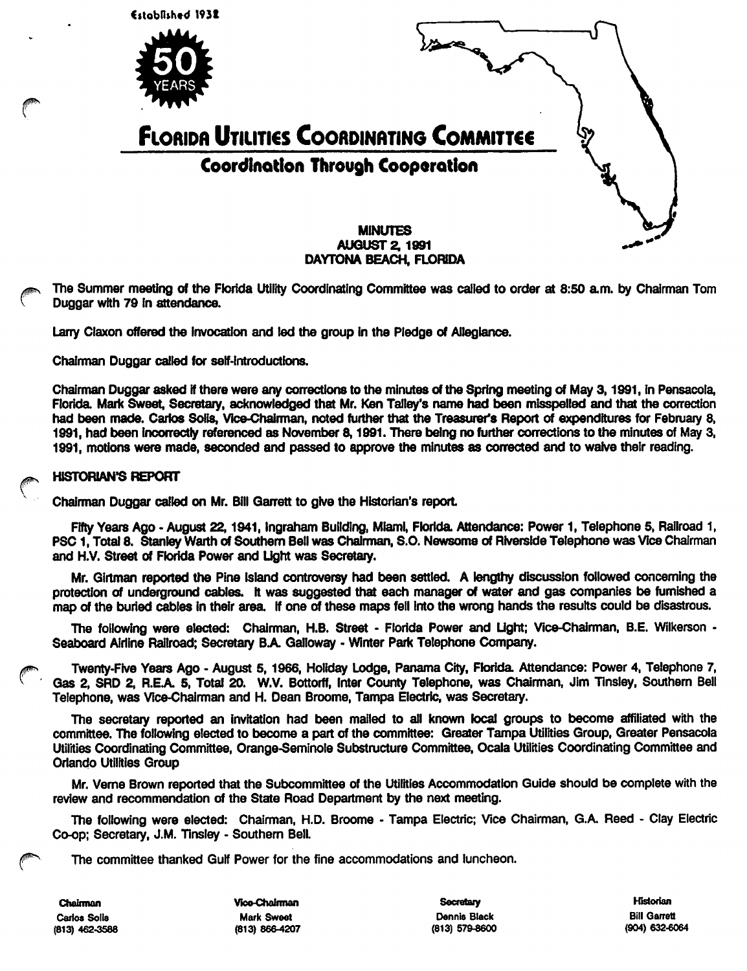

The Summer meeting of the Florida Utility Coordinating Committee was called to order at 8:50 a.m. by Chairman Tom Duggar with 79 in attendance.

Larry Ciaxon offered the invocation and led the group In the Pledge of Allegiance.

Chairman Duggar called for seif-introductions.

Chairman Duggar asked if there were any corrections to the minutes of the Spring meeting of May 3,1991, In Pensacoia Florida. Mark Sweet, Secretary, acknowledged that Mr. Ken Talley's name had been misspelled and that the correction had been made. Carlos Solis, Vice-Chalrman, noted further that the Treasurer's Report of expenditures for February 8, 1991, had been incorrectly referenced as November 8,1991. There being no further corrections to the minutes of May 3, 1991, motions were made, seconded and passed to approve the minutes as corrected and to waive their reading.

# ^ HISTORIAN'S REPORT

Chairman Duggar called on Mr. Bill Garrett to give the Historian's report

Fifty Years Ago - August 22,1941, ingraham Building, Miami, Florida Attendance: Power 1, Telephone 5, Railroad 1, PSC 1, Total 8. Stanley Warth of Southern Bell was Chairman, S.O. Newsome of Riverside Telephone was Vice Chairman and H.V. Street of Florida Power and Light was Secretary.

Mr. Giitman reported the Pine island controversy had been settled. A lengthy discussion followed concerning the protection of underground cables, it was suggested that each manager of water and gas companies be furnished a map of the buried cables in their area. If one of these maps fell into the wrong hands the results could be disastrous.

The following were elected: Chairman, H.B. Street - Florida Power and Light; Vice-Chalrman, B.E. Wiikerson - Seaboard Airline Railroad; Secretary BA Galloway - Winter Park Telephone Company.

Twenty-Five Years Ago - August 5, 1966, Holiday Lodge, Panama City, Florida. Attendance: Power 4, Telephone 7, Gas 2, SRD 2, R.E.A. 5, Total 20. W.V. Bottorff, Inter County Telephone, was Chairman, Jim Tinsley, Southern Bell Telephone, was Vice-Chairman and H. Dean Broome, Tampa Electric, was Secretary.

The secretary reported an invitation had been mailed to all known local groups to become affiliated with the committee. The following elected to become a part of the committee: Greater Tampa Utilities Group, Greater Pensacola Utilities Coordinating Committee, Orange-Seminole Substructure Committee, Ocala Utilities Coordinating Committee and Orlando Utilities Group

Mr. Verne Brown reported that the Subcommittee of the Utilities Accommodation Guide should be complete with the review and recommendation of the State Road Department by the next meeting.

The following were elected: Chairman, H.D. Broome - Tampa Electric; Vice Chairman, G.A. Reed - Clay Electric Co-op; Secretary, J.M. Tinsiey - Southern Bell.

The committee thanked Gulf Power for the fine accommodations and luncheon.

Chabman Vico-Chairman Secralaiy Historian Carlos Solla Mark Sweet Dennis Black Bill Garrett (813) 462-3588 (813) 86e4207 (813) 579^600 (904) 632-6064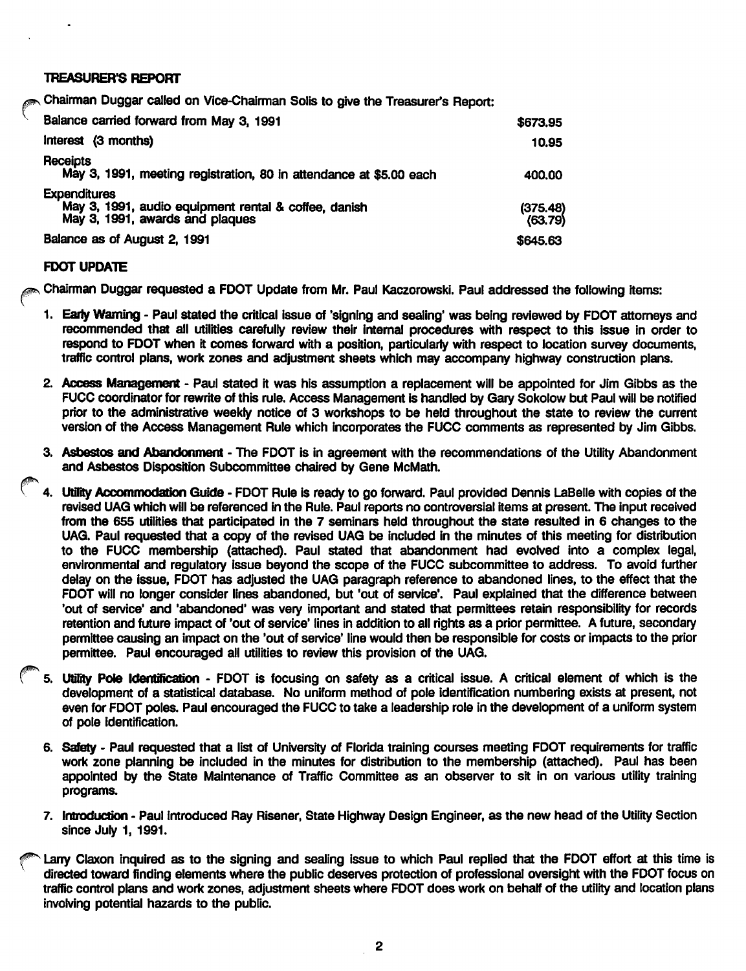## **TREASURER'S REPORT**

Chairman Duggar called on Vice-Chairman Solis to give the Treasurer's Report:

| Balance carried forward from May 3, 1991                                                                       | \$673.95            |
|----------------------------------------------------------------------------------------------------------------|---------------------|
| Interest (3 months)                                                                                            | 10.95               |
| Receipts<br>May 3, 1991, meeting registration, 80 in attendance at \$5.00 each                                 | 400.00              |
| <b>Expenditures</b><br>May 3, 1991, audio equipment rental & coffee, danish<br>May 3, 1991, awards and plaques | (375.48)<br>(63.79) |
| Balance as of August 2, 1991                                                                                   | \$645.63            |

## **FDOT UPDATE**

Chairman Duggar requested a FDOT Update from Mr. Paul Kaczorowski. Paul addressed the following items:

- 1. Early Warning Paul stated the critical issue of 'signing and sealing' was being reviewed by FDOT attomeys and recommended that all utilities carefully review their internal procedures with respect to this issue in order to respond to FDOT when it comes forward with a position, particularly with respect to location survey documents, traffic control plans, work zones and adjustment sheets which may accompany highway construction plans.
- 2. Access Management Paul stated it was his assumption a replacement will be appointed for Jim Gibbs as the FUCC coordinator for rewrite of this rule. Access Management Is handled by Gary Sokolow but Paul will be notified prior to the administrative weekly notice of 3 workshops to be held throughout the state to review the current version of the Access Management Rule which Incorporates the FUCC comments as represented by Jim GIbbs.
- 3. Asbestos and Abandonment The FDOT is in agreement with the recommendations of the Utility Abandonment and Asbestos Disposition Subcommittee chaired by Gene McMath.
- 4. Utility Accommodation Guide FDOT Rule is ready to go forward. Paul provided Dennis LaBelle with copies of the revised UAG which will be referenced in the Rule. Paul reports no controversial items at present. The input received from the 655 utilities that participated In the 7 seminars held throughout the state resulted in 6 changes to the UAG. Paul requested that a copy of the revised UAG be included in the minutes of this meeting for distribution to the FUCC membership (attached). Paul stated that abandonment had evolved into a complex legal, environmental and regulatory Issue beyond the scope of the FUCC subcommittee to address. To avoid further delay on the Issue, FDOT has adjusted the UAG paragraph reference to abandoned lines, to the effect that the FDOT will no longer consider lines abandoned, but 'out of service'. Paul explained that the difference between 'out of service' and 'abandoned' was very important and stated that permittees retain responsibility for records retention and future impact of 'out of service' lines in addition to all rights as a prior permittee. A future, secondary permittee causing an Impact on the 'out of service' line would then be responsible for costs or Impacts to the prior permittee. Paul encouraged all utilities to review this provision of the UAG.
- 5. Utility Pole Identification FDOT is focusing on safety as a critical issue. A critical element of which is the development of a statistical database. No uniform method of pole Identification numbering exists at present, not even for FDOT poles. Paul encouraged the FUCC to take a leadership role in the development of a uniform system of pole identification.
- 6. Safety Paul requested that a list of University of Florida training courses meeting FDOT requirements for traffic work zone planning be Included In the minutes for distribution to the membership (attached). Paul has been appointed by the State Maintenance of Traffic Committee as an observer to sit in on various utility training programs.
- 7. Introduction Paul introduced Ray Risener, State Highway Design Engineer, as the new head of the Utility Section since July 1, 1991.

Larry Claxon inquired as to the signing and sealing issue to which Paul replied that the FDOT effort at this time is directed toward finding elements where the public deserves protection of professional oversight with the FDOT focus on traffic control plans and work zones, adjustment sheets where FDOT does work on behalf of the utility and location plans involving potential hazards to the public.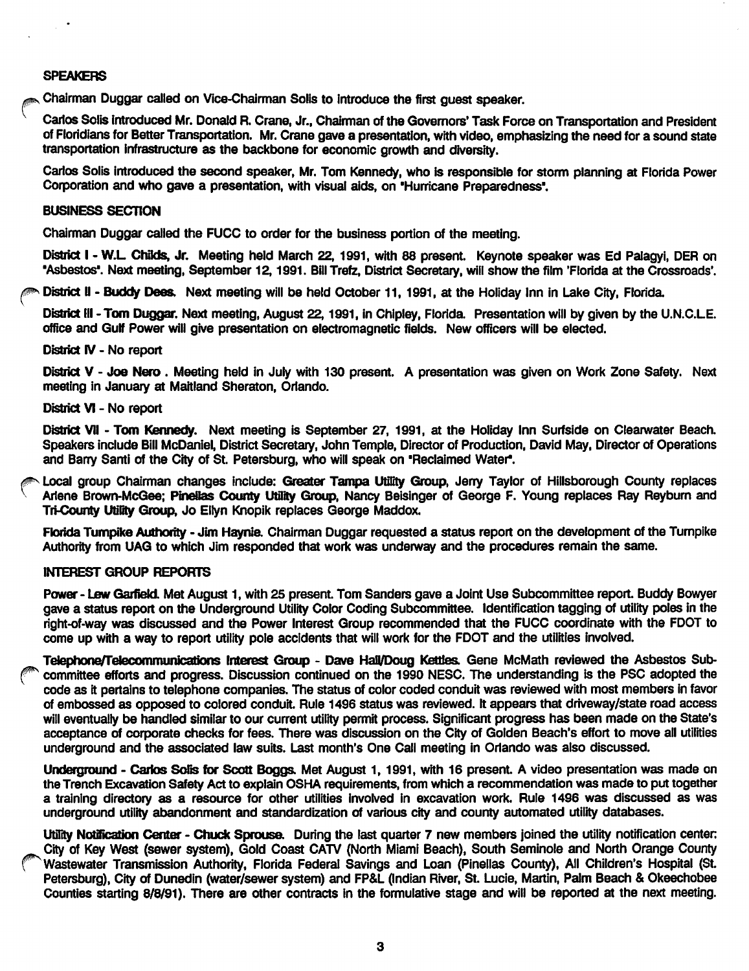## SPEAKERS

 $\sim$ 

^ Chairman Duggar called on Vice-Chalrman Soils to Introduce the first guest speaker.

Carlos Soils Introduced Mr. Donald R. Crane, Jr., Chairman of the Govemors' Task Force on Transportation and President of Florldlans for Better Transportation. Mr. Crane gave a presentation, with video, emphasizing the need for a sound state transportation infrastructure as the backlsone for economic growth and diversity.

Carlos Solis introduced the second speaker, Mr. Tom Kennedy, who is responsible for storm planning at Florida Power Corporation and who gave a presentation, with visual aids, on 'Hurricane Preparedness'.

#### BUSINESS SECTION

Chairman Duggar called the FUCC to order for the business portion of the meeting.

District I - W.L. Childs, Jr. Meeting held March 22, 1991, with 88 present. Keynote speaker was Ed Palagyi, DER on 'Asbestos'. Next meeting, September 12,1991. Bill Trefz, District Secretary, will show the film 'Florida at the Crossroads'.

N District II - Buddy Dees. Next meeting will be held October 11, 1991, at the Holiday Inn in Lake City, Florida.

District III - Tom Duggar. Next meeting, August 22, 1991, in Chipley, Florida. Presentation will by given by the U.N.C.L.E. office and Gulf Power will give presentation on electromagnetic fields. New officers will be elected.

#### District IV - No report

District V - Joe Nero. Meeting held in July with 130 present. A presentation was given on Work Zone Safety. Next meeting in January at Maitland Sheraton, Orlando.

### District VI - No report

District VII - Tom Kennedy. Next meeting is September 27, 1991, at the Holiday Inn Surfside on Clearwater Beach. Speakers include Bill McDanlel, District Secretary, John Temple, Director of Production, David May, Director of Operations and Barry Santi of the City of St. Petersburg, who will speak on 'Reclaimed Water.

^ Local group Chairman changes Include: Greater Tampa Ufility Group, Jerry Taylor of Hillsborough County replaces Arlene Brown-McGee; Pinellas County Utility Group, Nancy Beisinger of George F. Young replaces Ray Reyburn and Tri-County Utility Group, Jo Ellyn Knopik replaces George Maddox.

Florida Tumpike Authority - Jim Haynie. Chairman Duggar requested a status report on the development of the Turnpike Authority from UAG to which Jim responded that work was underway and the procedures remain the same.

## INTEREST GROUP REPORTS

Power - Lew Garfield. Met August 1, with 25 present. Tom Sanders gave a Joint Use Subcommittee report. Buddy Bowyer gave a status report on the Underground Utility Color Coding Subcommittee. Identification tagging of utility poles in the right-of-way was discussed and the Power Interest Group recommended that the FUCC coordinate with the FDOT to come up with a way to report utility pole accidents that will work for the FDOT and the utilities involved.

Teiephone/relecommunications Interest Group - Dave Hall/Doug Katies. Gene McMath reviewed the Asbestos Subcommittee efforts and progress. Discussion continued on the 1990 NESC. The understanding is the PSC adopted the code as it pertains to telephone companies. The status of color coded conduit was reviewed with most members in favor of embossed as opposed to colored conduit. Rule 1496 status was reviewed. It appears that driveway/state road access will eventually be handled similar to our current utility permit process. Significant progress has been made on the State's acceptance of corporate checks for fees. There was discussion on the City of Golden Beach's effort to move all utilities underground and the associated law suits. Last month's One Call meeting in Orlando was also discussed.

Underground - Carlos Solis for Scott Boggs. Met August 1, 1991, with 16 present. A video presentation was made on the Trench Excavation Safety Act to explain OSHA requirements, from which a recommendation was made to put together a training directory as a resource for other utilities involved in excavation work. Rule 1496 was discussed as was underground utility abandonment and standardization of various city and county automated utility databases.

Utility Notification Center - Chuck Sprouse. During the last quarter 7 new members joined the utility notification center; City of Key West (sewer system). Gold Coast CATV (North Miami Beach), South Seminole and North Orange County Wastewater Transmission Authority, Florida Federal Savings and Loan (Pinellas County), All Children's Hospital (St. Petersburg), City of Dunedin (water/sewer system) and FP&L (Indian River, St. Lucie, Martin, Palm Beach & Okeechobee Counties starting 8/8/91). There are other contracts in the formulative stage and will be reported at the next meeting.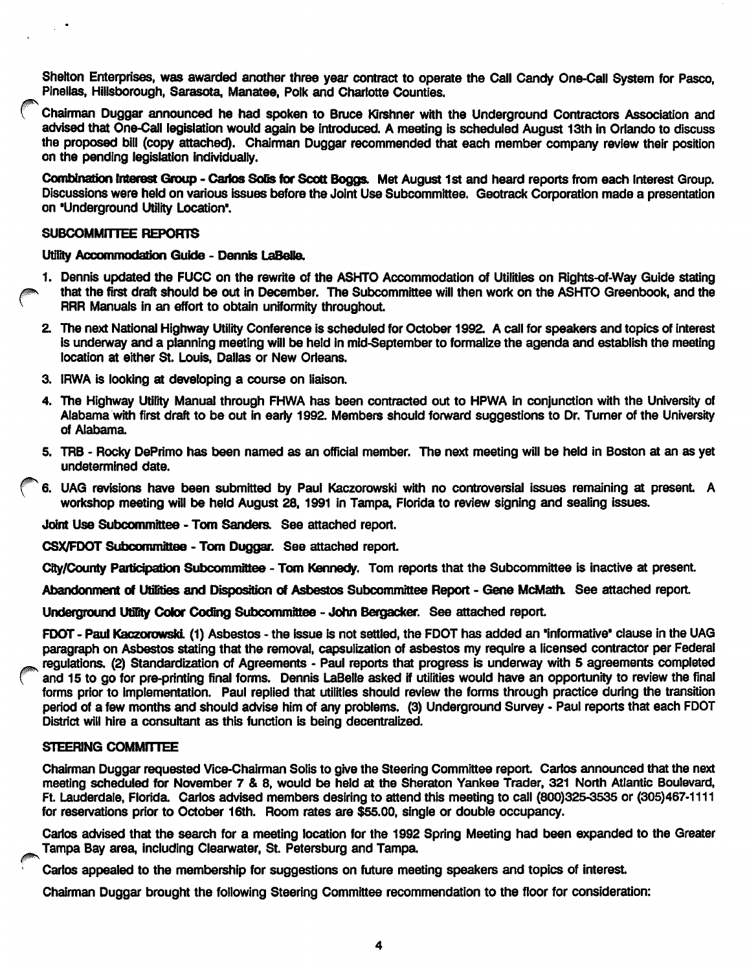Shelton Enterprises, was awarded another three year contract to operate the Call Candy One-Call System for Pasco, Pinellas, Hillsborough, Sarasota, Manatee, Polk and Charlotte Counties.

Chairman Duggar announced he had spoken to Bruce KIrshner with the Underground Contractors Association and advised that One-Call legislation would again be introduced. A meeting is scheduled August 13th In Orlando to discuss the proposed bill (copy attached). Chairman Duggar recommended that each member company review their position on the pending legislation Individually.

Combination Interest Group - Carlos Solis for Scott Boggs. Met August 1st and heard reports from each Interest Group. Discussions were held on various issues before the Joint Use Subcommittee. Geotrack Corporation made a presentation on 'Underground Utility Location\*.

### SUBCOMMITTEE REPORTS

Utility Accommodation Guide - Dennis LaBelle.

- 1. Dennis updated the FUCC on the rewrite of the ASHTO Accommodation of Utilities on Rights-of-Way Guide stating<br>that the first draft should be out in December. The Subcommittee will then work on the ASHTO Greenbook, and t RRR Manuals in an effort to obtain uniformity throughout.
	- 2. The next National Highway Utility Conference is scheduled for October 1992. A call for speakers and topics of interest Is underway and a planning meeting will be held in mid-September to formalize the agenda and establish the meeting location at either St. Louis, Dallas or New Orleans.
	- 3. IRWA Is looking at developing a course on liaison.
	- 4. The Highway Utility Manual through FHWA has been contracted out to HPWA in conjunction with the University of Aiabama with first draft to be out in early 1992. Members should forward suggestions to Dr. Turner of the University of Alabama
	- 5. TRB Rocky DePrimo has been named as an official member. The next meeting will be held in Boston at an as yet undetermined date.
	- 6. UAG revisions have been submitted by Paul Kaczorowski with no controversial issues remaining at present. A workshop meeting will be held August 28, 1991 in Tampa, Florida to review signing and sealing issues.

Joint Use Subcommittee - Tom Sanders. See attached report.

CSX/FDOT Subcommittee - Tom Duggar. See attached report.

City/County Participation Subcommittee - Tom Kennedy. Tom reports that the Subcommittee is inactive at present.

Abandonment of Utilities and Disposition of Asbestos Subcommittee Report - Gene McMath. See attached report.

Underground Utility Color Coding Subcommittee - John Bergacker. See attached report.

FDOT - Paul Kaczorowski. (1) Asbestos - the issue is not settled, the FDOT has added an "informative" clause in the UAG paragraph on Asbestos stating that the removal, capsulizatlon of asbestos my require a licensed contractor per Federal regulations. (2) Standardization of Agreements - Paul reports that progress is underway with 5 agreements completed and 15 to go for pre-printing final forms. Dennis LaBelle asked if utilities would have an opportunity to review the final forms prior to Implementation. Paul replied that utilities should review the forms through practice during the transition period of a few months and should advise him of any problems. (3) Underground Survey • Paul reports that each FDOT District will hire a consultant as this function is being decentralized.

## STEERING COMMITTEE

Chairman Duggar requested Vice-Chairman Solis to give the Steering Committee report. Carlos announced that the next meeting scheduled for November 7 & 8, would be held at the Sheraton Yankee Trader, 321 North Atlantic Boulevard, Ft Lauderdale, Florida. Carlos advised members desiring to attend this meeting to call (800)325-3535 or (305)467-1 111 for reservations prior to October 16th. Room rates are \$55.00, single or double occupancy.

Carlos advised that the search for a meeting location for the 1992 Spring Meeting had been expanded to the Greater Tampa Bay area, Including Cleanwater, St. Petersburg and Tampa

Carlos appealed to the membership for suggestions on future meeting speakers and topics of interest.

Chairman Duggar brought the following Steering Committee recommendation to the floor for consideration: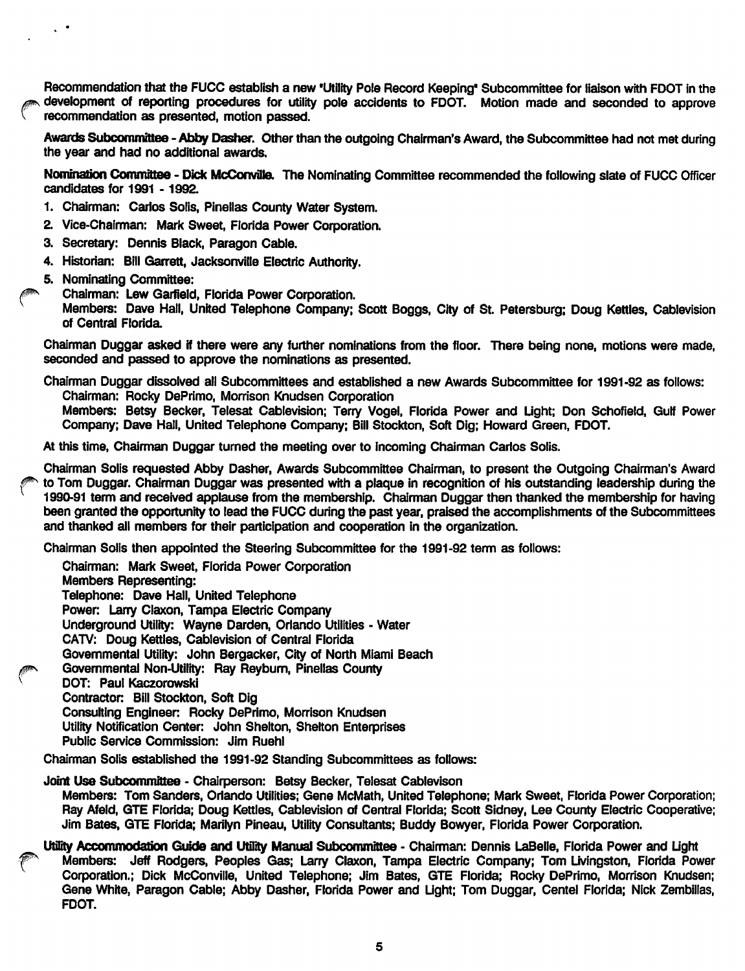Recommendation that the FUCC establish a new 'Utility Pole Record Keeping' Subcommittee for liaison with FOOT in the . development of reporting procedures for utility pole accidents to FOOT. Motion made and seconded to approve recommendation as presented, motion passed.

Awards Subcommittee - Abby Dasher. Other than the outgoing Chairman's Award, the Subcommittee had not met during the year and had no additional awards.

Nomination Commfttee - Dick McComrilla The Nominating Committee recommended the following slate of FUCC Officer candidates for 1991 -1992.

- 1. Chairman: Carlos Soils, Pinellas County Water System.
- 2. Vice-Chairman: Mark Sweet, Florida Power Corporation.
- 3. Secretary: Dennis Black, Paragon Cable.
- 4. Historian: Bill Garrett, Jacksonville Electric Authority.
- 5. Nominating Committee:

 $\mathcal{L}$ 

Chairman: Lew Garfield, Florida Power Corporation.

Members: Dave Hall, United Telephone Company; Scott Boggs, City of St. Petersburg; Doug Kettles, Cablevision of Central Florida

Chairman Duggar asked if there were any further nominations from the floor. There being none, motions were made, seconded and passed to approve the nominations as presented.

Chairman Duggar dissolved all Subcommittees and established a new Awards Subcommittee for 1991-92 as follows: Chairman: Rocky DePrimo, Morrison Knudsen Corporation Members: Betsy Becker, Telesat Cablevision; Terry Vogel, Florida Power and Light; Don Schofield, Gulf Power

Company; Dave Hall, United Telephone Company; Bill Stockton, Soft Dig; Howard Green. FDOT.

At this time. Chairman Duggar turned the meeting over to incoming Chairman Carlos Soils.

Chairman Soils requested Abby Dasher, Awards Subcommittee Chairman, to present the Outgoing Chairman's Award to Tom Duggar. Chairman Duggar was presented with a plaque in recognition of his outstanding leadership during the 1990-91 term and received applause from the membership. Chairman Duggar then thanked the membership for having been granted the opportunity to lead the FUCC during the past year, praised the accomplishments of the Subcommittees and thanked all members for their participation and cooperation in the organization.

Chairman Soils then appointed the Steering Subcommittee for the 1991-92 term as follows:

Chairman: Mark Sweet, Florida Power Corporation Members Representing: Telephone: Dave Hall, United Telephone Power. Larry Claxon, Tampa Electric Company Underground Utility: Wayne Darden, Orlando Utilities - Water CATV: Doug Kettles, Cablevision of Central Florida Govemmental Utility: John Bergacker, City of North Miami Beach Govemmental Non-Utility: Ray Reybum, Pinellas County DOT: Paul Kaczorowski Contractor: Bill Stockton, Soft Dig Consulting Engineer Rocky DePrimo, Morrison Knudsen Utility Notification Center: John Shelton, Shelton Enterprises Public Service Commission: Jim Ruehl

Chairman Soils established the 1991-92 Standing Subcommittees as follows:

Joint Use Subcommittee - Chairperson: Betsy Becker, Telesat Cablevison Members: Tom Sanders, Orlando Utilities; Gene McMath, United Telephone; Mark Sweet, Florida Power Corporation; Ray Afeld, GTE Fiorida; Doug Ketties, Cablevision of Central Florida; Scott Sidney, Lee County Electric Cooperative; Jim Bates, GTE Florida; Marilyn Pineau, Utility Consultants; Buddy Bowyer, Florida Power Corporation.

Utility Accommodation Guide and Utility Manual Subcommittee - Chairman: Dennis LaBelle, Florida Power and Light Members: Jeff Rodgers, Peoples Gas; Larry Claxon, Tampa Electric Company; Tom Livingston, Fiorida Power Corporation.; Dick McConville, United Telephone; Jim Bates, GTE Florida; Rocky DePrimo, Morrison Knudsen; Gene White, Paragon Cable; Abby Dasher, Florida Power and Light; Tom Duggar, Centel Florida; Nick Zemblllas, FDOT.